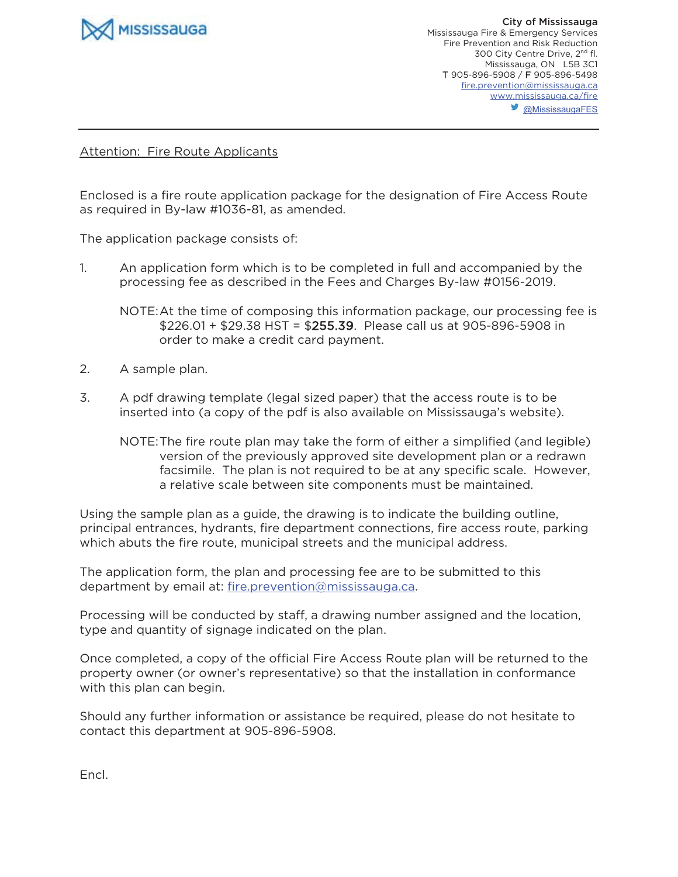

## Attention: Fire Route Applicants

Enclosed is a fire route application package for the designation of Fire Access Route as required in By-law #1036-81, as amended.

The application package consists of:

1. An application form which is to be completed in full and accompanied by the processing fee as described in the Fees and Charges By-law #0156-2019.

NOTE: At the time of composing this information package, our processing fee is \$226.01 + \$29.38 HST = \$255.39. Please call us at 905-896-5908 in order to make a credit card payment.

- 2. A sample plan.
- 3. A pdf drawing template (legal sized paper) that the access route is to be inserted into (a copy of the pdf is also available on Mississauga's website).
	- NOTE: The fire route plan may take the form of either a simplified (and legible) version of the previously approved site development plan or a redrawn facsimile. The plan is not required to be at any specific scale. However, a relative scale between site components must be maintained.

Using the sample plan as a guide, the drawing is to indicate the building outline, principal entrances, hydrants, fire department connections, fire access route, parking which abuts the fire route, municipal streets and the municipal address.

The application form, the plan and processing fee are to be submitted to this department by email at: fire.prevention@mississauga.ca.

Processing will be conducted by staff, a drawing number assigned and the location, type and quantity of signage indicated on the plan.

Once completed, a copy of the official Fire Access Route plan will be returned to the property owner (or owner's representative) so that the installation in conformance with this plan can begin.

Should any further information or assistance be required, please do not hesitate to contact this department at 905-896-5908.

Encl.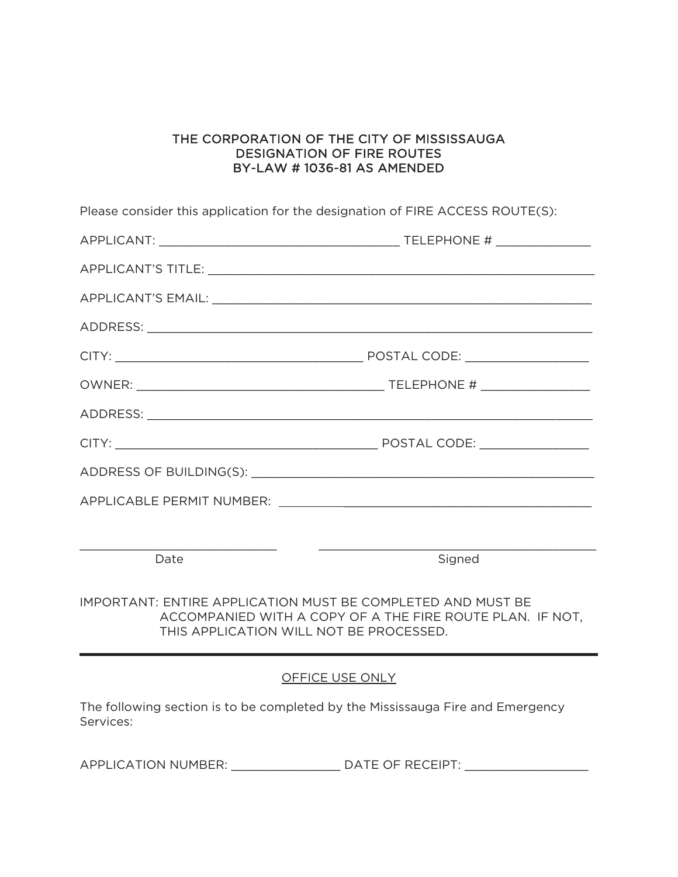## THE CORPORATION OF THE CITY OF MISSISSAUGA DESIGNATION OF FIRE ROUTES BY-LAW # 1036-81 AS AMENDED

Please consider this application for the designation of FIRE ACCESS ROUTE(S):

| Date | Signed |
|------|--------|

IMPORTANT: ENTIRE APPLICATION MUST BE COMPLETED AND MUST BE ACCOMPANIED WITH A COPY OF A THE FIRE ROUTE PLAN. IF NOT, THIS APPLICATION WILL NOT BE PROCESSED.

## OFFICE USE ONLY

The following section is to be completed by the Mississauga Fire and Emergency Services:

APPLICATION NUMBER: \_\_\_\_\_\_\_\_\_\_\_\_\_\_\_\_\_\_ DATE OF RECEIPT: \_\_\_\_\_\_\_\_\_\_\_\_\_\_\_\_\_\_\_\_\_\_\_\_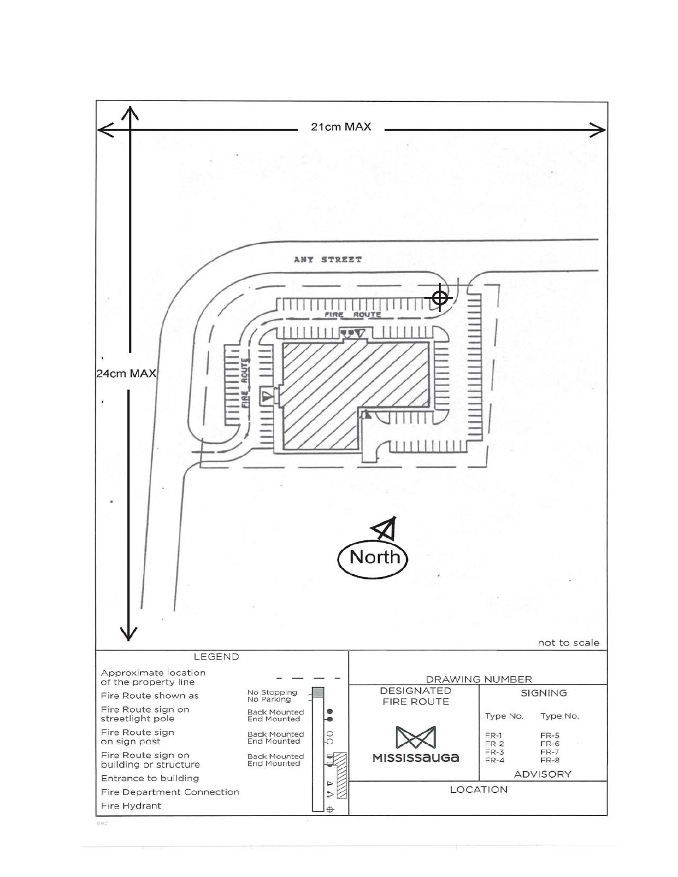